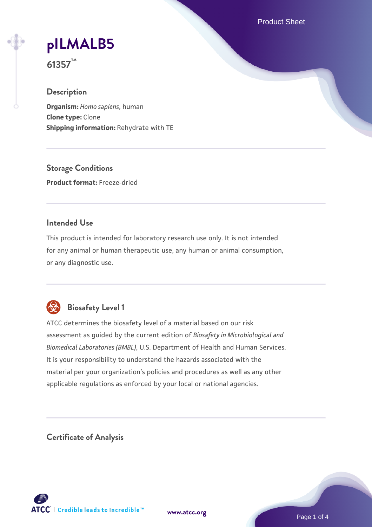Product Sheet

# **[pILMALB5](https://www.atcc.org/products/61357)**

**61357™**

## **Description**

**Organism:** *Homo sapiens*, human **Clone type:** Clone **Shipping information:** Rehydrate with TE

**Storage Conditions Product format:** Freeze-dried

## **Intended Use**

This product is intended for laboratory research use only. It is not intended for any animal or human therapeutic use, any human or animal consumption, or any diagnostic use.



# **Biosafety Level 1**

ATCC determines the biosafety level of a material based on our risk assessment as guided by the current edition of *Biosafety in Microbiological and Biomedical Laboratories (BMBL)*, U.S. Department of Health and Human Services. It is your responsibility to understand the hazards associated with the material per your organization's policies and procedures as well as any other applicable regulations as enforced by your local or national agencies.

**Certificate of Analysis**

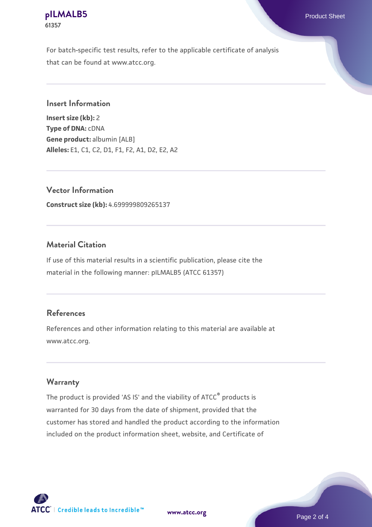#### **[pILMALB5](https://www.atcc.org/products/61357)** Product Sheet **61357**

For batch-specific test results, refer to the applicable certificate of analysis that can be found at www.atcc.org.

#### **Insert Information**

**Insert size (kb):** 2 **Type of DNA:** cDNA **Gene product:** albumin [ALB] **Alleles:** E1, C1, C2, D1, F1, F2, A1, D2, E2, A2

**Vector Information**

**Construct size (kb):** 4.699999809265137

## **Material Citation**

If use of this material results in a scientific publication, please cite the material in the following manner: pILMALB5 (ATCC 61357)

## **References**

References and other information relating to this material are available at www.atcc.org.

#### **Warranty**

The product is provided 'AS IS' and the viability of ATCC® products is warranted for 30 days from the date of shipment, provided that the customer has stored and handled the product according to the information included on the product information sheet, website, and Certificate of

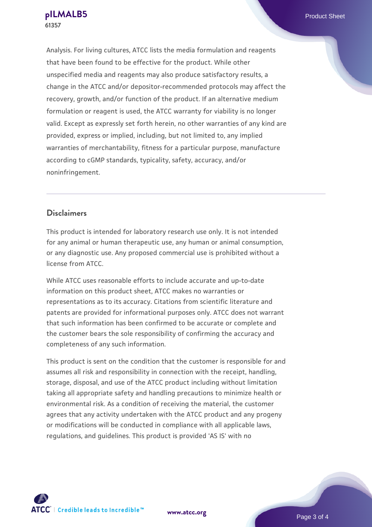Analysis. For living cultures, ATCC lists the media formulation and reagents that have been found to be effective for the product. While other unspecified media and reagents may also produce satisfactory results, a change in the ATCC and/or depositor-recommended protocols may affect the recovery, growth, and/or function of the product. If an alternative medium formulation or reagent is used, the ATCC warranty for viability is no longer valid. Except as expressly set forth herein, no other warranties of any kind are provided, express or implied, including, but not limited to, any implied warranties of merchantability, fitness for a particular purpose, manufacture according to cGMP standards, typicality, safety, accuracy, and/or noninfringement.

## **Disclaimers**

This product is intended for laboratory research use only. It is not intended for any animal or human therapeutic use, any human or animal consumption, or any diagnostic use. Any proposed commercial use is prohibited without a license from ATCC.

While ATCC uses reasonable efforts to include accurate and up-to-date information on this product sheet, ATCC makes no warranties or representations as to its accuracy. Citations from scientific literature and patents are provided for informational purposes only. ATCC does not warrant that such information has been confirmed to be accurate or complete and the customer bears the sole responsibility of confirming the accuracy and completeness of any such information.

This product is sent on the condition that the customer is responsible for and assumes all risk and responsibility in connection with the receipt, handling, storage, disposal, and use of the ATCC product including without limitation taking all appropriate safety and handling precautions to minimize health or environmental risk. As a condition of receiving the material, the customer agrees that any activity undertaken with the ATCC product and any progeny or modifications will be conducted in compliance with all applicable laws, regulations, and guidelines. This product is provided 'AS IS' with no

**[www.atcc.org](http://www.atcc.org)**